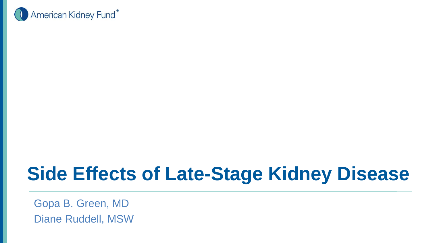

### **Side Effects of Late-Stage Kidney Disease**

Gopa B. Green, MD Diane Ruddell, MSW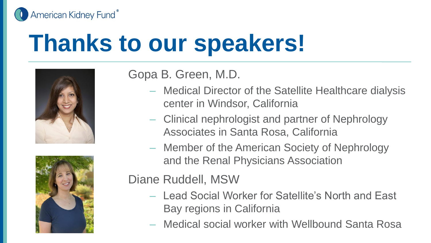American Kidney Fund®

# **Thanks to our speakers!**





Gopa B. Green, M.D.

- Medical Director of the Satellite Healthcare dialysis center in Windsor, California
- Clinical nephrologist and partner of Nephrology Associates in Santa Rosa, California
- Member of the American Society of Nephrology and the Renal Physicians Association

Diane Ruddell, MSW

- Lead Social Worker for Satellite's North and East Bay regions in California
- Medical social worker with Wellbound Santa Rosa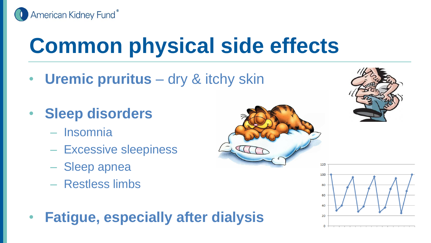

## **Common physical side effects**

- **Uremic pruritus** dry & itchy skin
- **Sleep disorders**
	- Insomnia
	- Excessive sleepiness
	- Sleep apnea
	- Restless limbs
- **Fatigue, especially after dialysis**



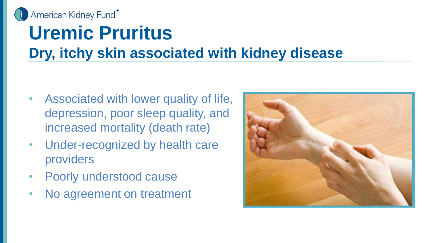

### **Uremic Pruritus Dry, itchy skin associated with kidney disease**

- Associated with lower quality of life, depression, poor sleep quality, and increased mortality (death rate)
- Under-recognized by health care providers
- Poorly understood cause
- No agreement on treatment

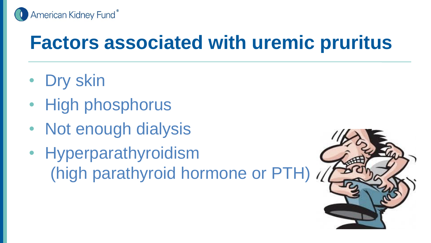

### **Factors associated with uremic pruritus**

- Dry skin
- High phosphorus
- Not enough dialysis
- Hyperparathyroidism (high parathyroid hormone or PTH)

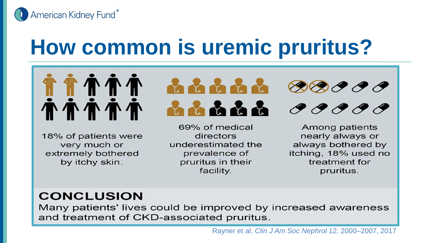

## **How common is uremic pruritus?**



18% of patients were very much or extremely bothered by itchy skin.



69% of medical directors underestimated the prevalence of pruritus in their facility.





Among patients nearly always or always bothered by itching, 18% used no treatment for pruritus.

#### **CONCLUSION**

Many patients' lives could be improved by increased awareness and treatment of CKD-associated pruritus.

Rayner et al. *Clin J Am Soc Nephrol* 12: 2000–2007, 2017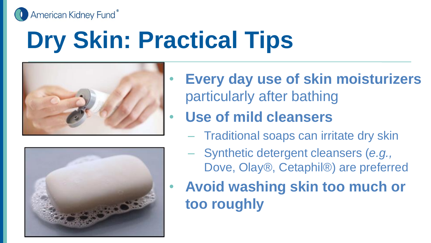American Kidney Fund®

# **Dry Skin: Practical Tips**





- **Every day use of skin moisturizers**  particularly after bathing
	- **Use of mild cleansers** 
		- Traditional soaps can irritate dry skin
		- Synthetic detergent cleansers (*e.g.,*  Dove, Olay®, Cetaphil®) are preferred
- **Avoid washing skin too much or too roughly**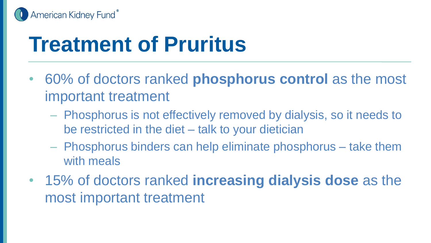

## **Treatment of Pruritus**

- 60% of doctors ranked **phosphorus control** as the most important treatment
	- Phosphorus is not effectively removed by dialysis, so it needs to be restricted in the diet – talk to your dietician
	- Phosphorus binders can help eliminate phosphorus take them with meals
- 15% of doctors ranked **increasing dialysis dose** as the most important treatment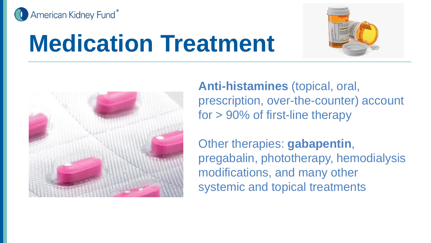

# **Medication Treatment**





**Anti-histamines** (topical, oral, prescription, over-the-counter) account for > 90% of first-line therapy

Other therapies: **gabapentin**, pregabalin, phototherapy, hemodialysis modifications, and many other systemic and topical treatments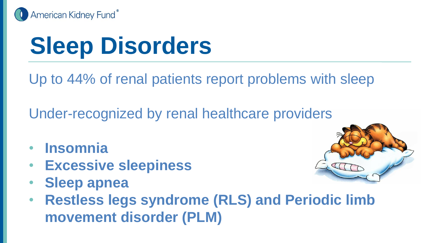

# **Sleep Disorders**

Up to 44% of renal patients report problems with sleep

Under-recognized by renal healthcare providers

- **Insomnia**
- **Excessive sleepiness**
- **Sleep apnea**



• **Restless legs syndrome (RLS) and Periodic limb movement disorder (PLM)**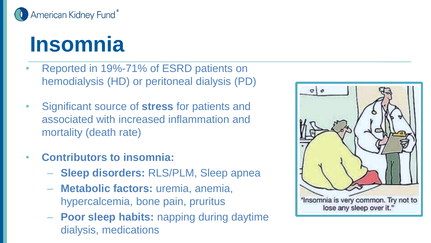

### **Insomnia**

- Reported in 19%-71% of ESRD patients on hemodialysis (HD) or peritoneal dialysis (PD)
- Significant source of **stress** for patients and associated with increased inflammation and mortality (death rate)
- **Contributors to insomnia:**
	- **Sleep disorders:** RLS/PLM, Sleep apnea
	- **Metabolic factors:** uremia, anemia, hypercalcemia, bone pain, pruritus
	- **Poor sleep habits:** napping during daytime dialysis, medications

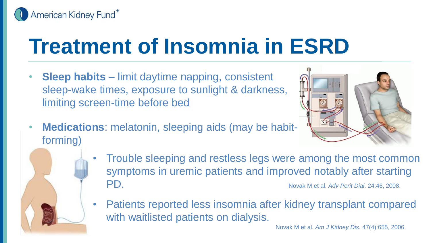

## **Treatment of Insomnia in ESRD**

• **Sleep habits** – limit daytime napping, consistent sleep-wake times, exposure to sunlight & darkness, limiting screen-time before bed



- **Medications**: melatonin, sleeping aids (may be habitforming)
	- Trouble sleeping and restless legs were among the most common symptoms in uremic patients and improved notably after starting PD. Novak M et al. *Adv Perit Dial*. 24:46, 2008.
	- Patients reported less insomnia after kidney transplant compared with waitlisted patients on dialysis.

Novak M et al. *Am J Kidney Dis.* 47(4):655, 2006.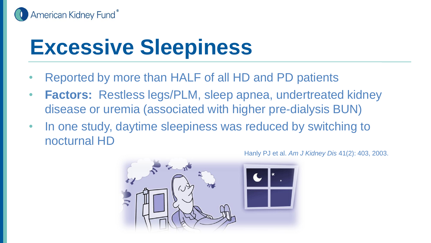

## **Excessive Sleepiness**

- Reported by more than HALF of all HD and PD patients
- **Factors:** Restless legs/PLM, sleep apnea, undertreated kidney disease or uremia (associated with higher pre-dialysis BUN)
- In one study, daytime sleepiness was reduced by switching to nocturnal HD

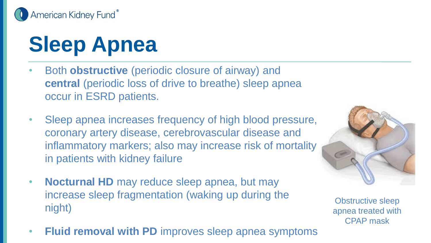

# **Sleep Apnea**

- Both **obstructive** (periodic closure of airway) and **central** (periodic loss of drive to breathe) sleep apnea occur in ESRD patients.
- Sleep apnea increases frequency of high blood pressure, coronary artery disease, cerebrovascular disease and inflammatory markers; also may increase risk of mortality in patients with kidney failure
- **Nocturnal HD** may reduce sleep apnea, but may increase sleep fragmentation (waking up during the night)
- **Fluid removal with PD** improves sleep apnea symptoms



Obstructive sleep apnea treated with CPAP mask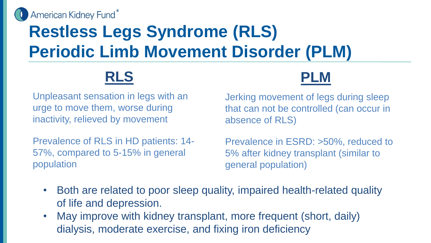

### **Restless Legs Syndrome (RLS) Periodic Limb Movement Disorder (PLM)**

### **RLS**



Unpleasant sensation in legs with an urge to move them, worse during inactivity, relieved by movement

Prevalence of RLS in HD patients: 14- 57%, compared to 5-15% in general population

Jerking movement of legs during sleep that can not be controlled (can occur in absence of RLS)

Prevalence in ESRD: >50%, reduced to 5% after kidney transplant (similar to general population)

- Both are related to poor sleep quality, impaired health-related quality of life and depression.
- May improve with kidney transplant, more frequent (short, daily) dialysis, moderate exercise, and fixing iron deficiency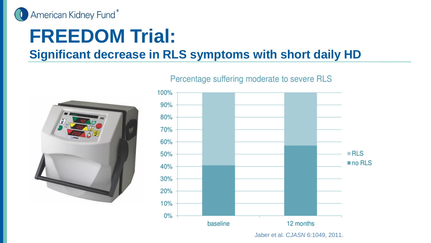

### **FREEDOM Trial:**

#### **Significant decrease in RLS symptoms with short daily HD**





Percentage suffering moderate to severe RLS

Jaber et al. *CJASN* 6:1049, 2011.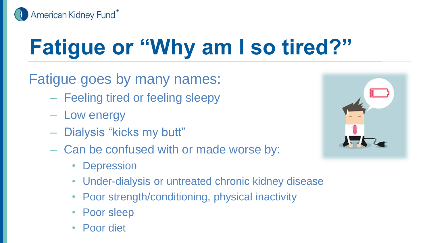

# **Fatigue or "Why am I so tired?"**

#### Fatigue goes by many names:

- Feeling tired or feeling sleepy
- Low energy
- Dialysis "kicks my butt"
- Can be confused with or made worse by:
	- Depression
	- Under-dialysis or untreated chronic kidney disease
	- Poor strength/conditioning, physical inactivity
	- Poor sleep
	- Poor diet

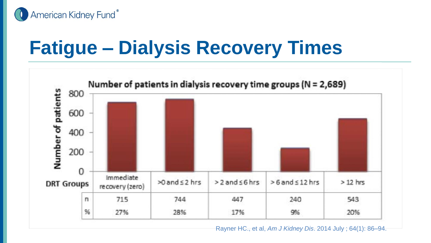

### **Fatigue – Dialysis Recovery Times**



Rayner HC., et al, *Am J Kidney Dis*. 2014 July ; 64(1): 86–94.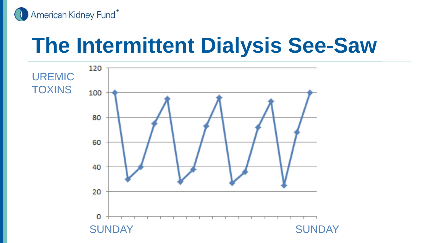

## **The Intermittent Dialysis See-Saw**

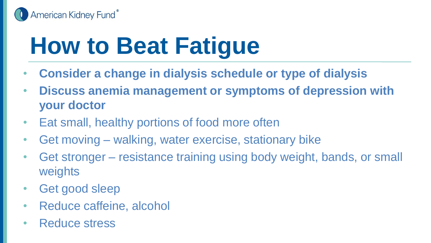

# **How to Beat Fatigue**

- **Consider a change in dialysis schedule or type of dialysis**
- **Discuss anemia management or symptoms of depression with your doctor**
- Eat small, healthy portions of food more often
- Get moving walking, water exercise, stationary bike
- Get stronger resistance training using body weight, bands, or small weights
- Get good sleep
- Reduce caffeine, alcohol
- Reduce stress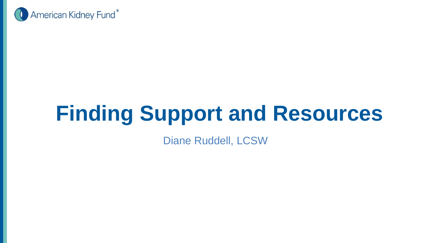

## **Finding Support and Resources**

Diane Ruddell, LCSW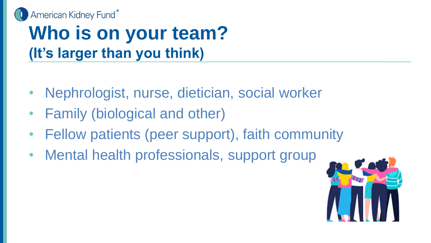

### **Who is on your team? (It's larger than you think)**

- Nephrologist, nurse, dietician, social worker
- Family (biological and other)
- Fellow patients (peer support), faith community
- Mental health professionals, support group

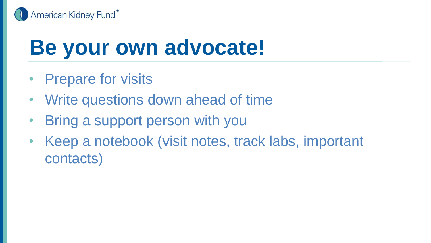

## **Be your own advocate!**

- Prepare for visits
- Write questions down ahead of time
- Bring a support person with you
- Keep a notebook (visit notes, track labs, important contacts)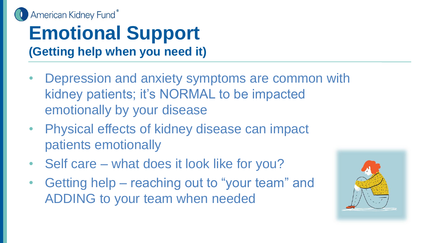

### **Emotional Support (Getting help when you need it)**

- Depression and anxiety symptoms are common with kidney patients; it's NORMAL to be impacted emotionally by your disease
- Physical effects of kidney disease can impact patients emotionally
- Self care what does it look like for you?
- Getting help reaching out to "your team" and ADDING to your team when needed

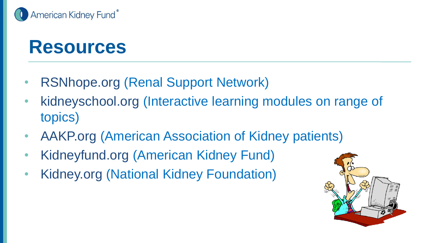

### **Resources**

- RSNhope.org (Renal Support Network)
- kidneyschool.org (Interactive learning modules on range of topics)
- AAKP.org (American Association of Kidney patients)
- Kidneyfund.org (American Kidney Fund)
- Kidney.org (National Kidney Foundation)

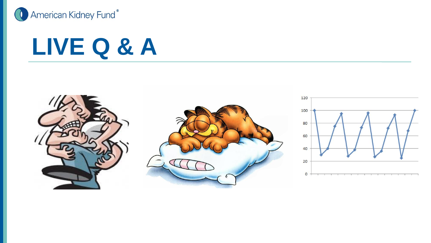

## **LIVE Q & A**